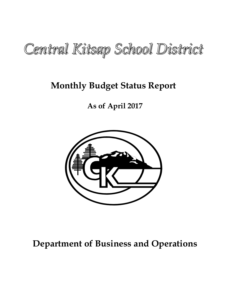

# **Monthly Budget Status Report**

**As of April 2017**



# **Department of Business and Operations**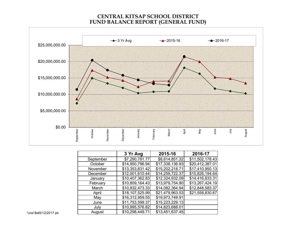#### **CENTRAL KITSAP SCHOOL DISTRICTFUND BALANCE REPORT (GENERAL FUND)**



|           | 3 Yr Avg        | 2015-16         | 2016-17         |
|-----------|-----------------|-----------------|-----------------|
| September | \$7,290,781.77  | \$8,614,851.32  | \$11,502,178.43 |
| October   | \$14,950,796.94 | \$17,338,136.93 | \$20,412,387.01 |
| November  | \$13,353,831.42 | \$15,202,218.71 | \$17,410,950.13 |
| December  | \$12,001,610.44 | \$14,259,722.37 | \$15,826,194.64 |
| January   | \$10,407,362.83 | \$12,324,932.09 | \$14,416,833.31 |
| February  | \$10,809,164.43 | \$13,979,754.80 | \$13,267,424.19 |
| March     | \$10,932,473.33 | \$14,082,364.94 | \$12,848,583.37 |
| April     | \$18,107,525.99 | \$21,479,963.53 | \$21,558,830.67 |
| May       | \$16,312,959.55 | \$19,973,749.91 |                 |
| June      | \$11,753,599.37 | \$15,223,229.13 |                 |
| July      | \$10,995,576.82 | \$14,823,688.01 |                 |
| August    | \$10,298,449.71 | \$13,451,637.45 |                 |

Fund Bal5/12/2017 pb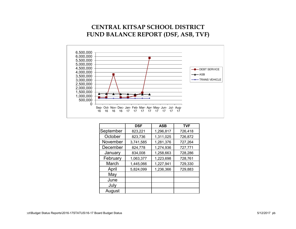### **CENTRAL KITSAP SCHOOL DISTRICTFUND BALANCE REPORT (DSF, ASB, TVF)**



|           | <b>DSF</b> | <b>ASB</b> | <b>TVF</b> |  |
|-----------|------------|------------|------------|--|
| September | 823,221    | 1,296,817  | 726,418    |  |
| October   | 823,736    | 1,311,025  | 726,872    |  |
| November  | 3,741,585  | 1,281,376  | 727,264    |  |
| December  | 824,778    | 1,274,936  | 727,771    |  |
| January   | 834,008    | 1,258,663  | 728,286    |  |
| February  | 1,063,377  | 1,223,698  | 728,761    |  |
| March     | 1,445,066  | 1,227,941  | 729,330    |  |
| April     | 5,824,099  | 1,236,366  | 729,883    |  |
| May       |            |            |            |  |
| June      |            |            |            |  |
| July      |            |            |            |  |
| August    |            |            |            |  |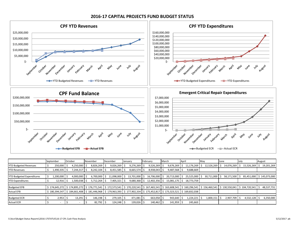

#### **2016‐17 CAPITAL PROJECTS FUND BUDGET STATUS**

|                                  | September     | October          | November                                                       | December  | January        | February     | March          | April                                                                                                                         | May        | June       | July                           | August                     |
|----------------------------------|---------------|------------------|----------------------------------------------------------------|-----------|----------------|--------------|----------------|-------------------------------------------------------------------------------------------------------------------------------|------------|------------|--------------------------------|----------------------------|
| <b>YTD Budgeted Revenues</b>     | 250,000       | 4,250,000        | 8,826,269                                                      | 9,026,269 | 9,276,269      | 9,526,269    | 9,676,269      | 11,176,269                                                                                                                    | 12.526.269 | 14,076,269 | 15,526,269                     | 19,201,269                 |
| <b>YTD Revenues</b>              | 1,490,335     | 7,244,317 S      | $8.242.104$ S                                                  | 8.451.585 | $8,665,574$ \$ | 8,938,043 \$ | $9,487,568$ \$ | 9,688,669                                                                                                                     |            |            |                                |                            |
|                                  |               |                  |                                                                |           |                |              |                |                                                                                                                               |            |            |                                |                            |
| <b>YTD Budgeted Expenditures</b> | 1,200,000     | 4.000.000        | 6.700.000                                                      | 1.098.000 | 13,701,000     | 16.706.000   | 20.713.000     | 25,525,000                                                                                                                    | 30.711.000 | 58.171.500 |                                | 85,451,000   \$145,073,000 |
| <b>YTD Expenditures</b>          | 12,916        | $1,500,038$   \$ | $5,712,264$ \$                                                 | 7,405,321 | $9,680,368$ \$ | 12.402.356 S | 15,081,175     | 18,773,759<br>-S                                                                                                              |            |            |                                |                            |
|                                  |               |                  |                                                                |           |                |              |                |                                                                                                                               |            |            |                                |                            |
| <b>Budgeted EFB</b>              | \$174.645.272 |                  | $\frac{1}{2}$ \$ 174,895,272   \$ 176,771,541   \$ 172,573,541 |           |                |              |                | \$ 170,220,541   \$ 167,465,541   \$ 163,608,541   \$ 160,296,541   \$ 156,460,541   \$ 130,550,041                           |            |            | $\frac{1}{2}$ 104,720,541   \$ | 48,537,731                 |
| <b>Actual EFB</b>                |               |                  |                                                                |           |                |              |                | \$180,394,547   \$184,661,408   \$181,446,968   \$179,963,393   \$177,902,334   \$175,452,817   \$173,323,521   \$169,832,038 |            |            |                                |                            |
|                                  |               |                  |                                                                |           |                |              |                |                                                                                                                               |            |            |                                |                            |
| <b>Budgeted ECR</b>              | 2,953         | 13.291           | $146.198$ S                                                    | 279,105   | 471.081        | 663,058 \$   | 943,640        | 1,224,221                                                                                                                     | 1,800,151  | 2,907,709  | 4,532,128                      | 6,350,000                  |
| <b>Actual ECR</b>                |               |                  | $82,792$ \$                                                    | 124,248   | $139,026$ \$   | 140,462 \$   | 141,959        | 245,663                                                                                                                       |            |            |                                |                            |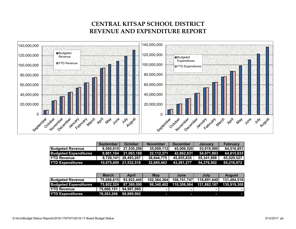## **CENTRAL KITSAP SCHOOL DISTRICTREVENUE AND EXPENDITURE REPORT**



|                              | <b>September</b> | October               | <b>November</b> | <b>December</b> | <b>January</b> | <b>February</b> |
|------------------------------|------------------|-----------------------|-----------------|-----------------|----------------|-----------------|
| <b>Budgeted Revenue</b>      | 8,560,610        | 27,530,206            | 35,009,112      | 45,009,520      | 53,919,990     | 64.516.651      |
| <b>Budgeted Expenditures</b> |                  | 9.881.104 21.063.188  | 32.112.371      | 42.862.831      | 54.071.883     | 64.815.633      |
| <b>IYTD Revenue</b>          |                  | 8,726,141 28,493,267  | 36,644,775      | 45.655.835      | 55.341.698     | 65.029.527      |
| <b>YTD Expenditures</b>      |                  | 10,675,600 21,532,518 | 32,685,463      | 43,281,277      | 54.376.502     | 65.216.972      |

|                              | <b>March</b> | April                 | Mav         | June        | July        | August      |
|------------------------------|--------------|-----------------------|-------------|-------------|-------------|-------------|
| <b>Budgeted Revenue</b>      | 75,088,615   | 93,922,445            | 102,364,384 | 108,741,747 | 118,891,640 | 131,484,516 |
| <b>Budgeted Expenditures</b> |              | 75.802.524 87.369.090 |             |             |             | 135.919.308 |
| <b>YTD Revenue</b>           | 75,660,151   | 94.997.095            |             | ۰           |             |             |
| <b>YTD Expenditures</b>      |              | 76,263,206 86,889,902 |             | l           | l           |             |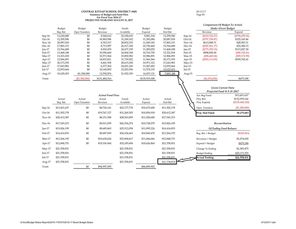### **CENTRAL KITSAP SCHOOL DISTRICT #401**Summary of Budget and Fund Flow<br>For Fiscal Year 2016-17<br>PROJECTED YEAR-END AUGUST 31, 2017

05/12/17

|          | Budget       | Budget         | Budget                  | Funds        | Budget        | Budget       |          | Comparison Of Budget To Actual<br>Under (Over) Budget |                   |  |
|----------|--------------|----------------|-------------------------|--------------|---------------|--------------|----------|-------------------------------------------------------|-------------------|--|
|          | Beg. Bal.    | Oper.Transfers | Revenue                 | Available    | Expend        | End Bal.     |          | Revenue                                               | Expend            |  |
| Sep-16   | 13,620,000   | \$0            | 8,560,610               | 22,180,610   | 9,881,104     | 12,299,506   | Sep-14   | (\$165,530.27)                                        | $(\$794,495.36)$  |  |
| Oct-16   | 12,299,506   | \$0            | 18,969,596              | 31,269,102   | 11,182,084    | 20,087,018   | Oct-14   | $(\$797,530.87)$                                      | \$325,165.46      |  |
| $Nov-16$ | 20,087,018   | \$0            | 8,765,317               | 28,852,335   | 11,049,183    | 17,803,151   | $Nov-14$ | \$613,808.71                                          | \$28,503.31       |  |
| Dec-16   | 17,803,151   | \$0            | 8,713,997               | 26,517,149   | 10,750,460    | 15,766,689   | Dec-14   | $(\$297,061.77)$                                      | \$22,380.15       |  |
| $Jan-17$ | 15,766,689   | \$0            | 8,910,470               | 24,677,159   | 11,209,052    | 13,468,108   | $Jan-15$ | (\$775,393.15)                                        | \$113,827.20      |  |
| Feb-17   | 13,468,108   | \$0            | 10,596,660              | 24,064,768   | 10,743,750    | 13,321,018   | Feb-15   | \$908,830.49                                          | $(\$96,720.41)$   |  |
| $Mar-17$ | 13,321,018   | \$0            | 10,571,964              | 23,892,982   | 10,986,891    | 12,906,091   | Mar-15   | (\$58,660.04)                                         | $(\$59,174.99)$   |  |
| Apr-17   | 12,906,091   | \$0            | 18,833,831              | 31,739,922   | 11,566,566    | 20,173,355   | Apr-15   | $(\$503,113.09)$                                      | \$939,702.41      |  |
| $May-17$ | 20,173,355   | \$0            | 8,441,938               | 28,615,294   | 10,971,312    | 17,643,981   | $May-15$ |                                                       |                   |  |
| $Jun-17$ | 17,643,981   | \$0            | 6,377,364               | 24,021,345   | 11,967,682    | 12,053,664   | Jun-15   |                                                       |                   |  |
| $Jul-17$ | 12,053,664   | \$0            | 10,149,892              | 22,203,556   | 11,574,103    | 10,629,453   | $Jul-15$ |                                                       |                   |  |
| Aug-17   | 10,629,453   | $-$1,300,000$  | 12,592,876              | 21,922,329   | 14,037,121    | 7,885,208    | Aug-15   |                                                       |                   |  |
| Totals   |              | (\$1,300,000)  | \$131,484,516           |              | \$135,919,308 |              |          | (\$1,074,650)                                         | \$479,188         |  |
|          |              |                |                         |              |               |              |          |                                                       |                   |  |
|          |              |                |                         |              |               |              |          | <b>Given Current Data</b>                             |                   |  |
|          |              |                |                         |              |               |              |          | Projected Fund @ 8-31-2017                            |                   |  |
|          |              |                | <b>Actual Fund Flow</b> |              |               |              |          | Act. Beg Fund                                         | \$13,451,637      |  |
|          | Actual       | Actual         | Actual                  | Funds        | Actual        | Actual       |          | Proj. Rev.                                            | \$132,559,166     |  |
|          | Beg. Bal.    | Oper.Transfers | Revenue                 | Available    | Expend        | End Bal.     |          | Proj. Expend.                                         | $(\$135,440,120)$ |  |
|          |              |                |                         |              |               |              |          |                                                       |                   |  |
| Sep-16   | \$13,451,637 | \$0            | \$8,726,141             | \$22,177,778 | \$10,675,600  | \$11,502,178 |          | Oper. Transfers                                       | (\$1,300,000)     |  |
| Oct-16   | \$11,502,178 | $\$0$          | \$19,767,127            | \$31,269,305 | \$10,856,918  | \$20,412,387 |          | Proj. End Fund                                        | \$9,270,683       |  |
| $Nov-16$ | \$20,412,387 | \$0            | \$8,151,508             | \$28,563,895 | \$11,020,680  | \$17,543,215 |          |                                                       |                   |  |
| Dec-16   | \$17,543,215 | \$0            | \$9,011,059             | \$26,554,274 | \$10,728,079  | \$15,826,195 |          | Reconciliation                                        |                   |  |
| $Jan-17$ | \$15,826,195 | \$0            | \$9,685,863             | \$25,512,058 | \$11,095,224  | \$14,416,833 |          | <b>Of Ending Fund Balance</b>                         |                   |  |
| Feb-17   | \$14,416,833 | \$0            | \$9,687,830             | \$24,104,663 | \$10,840,470  | \$13,264,193 |          | Beg. Bal. > Budget                                    | (\$168,363)       |  |
| Mar-17   | \$13,264,193 | \$0            | \$10,630,624            | \$23,894,817 | \$11,046,066  | \$12,848,751 |          | Revenues > Budget                                     | \$1,074,650       |  |
| Apr-17   | \$12,848,751 | \$0            | \$19,336,944            | \$32,185,694 | \$10,626,864  | \$21,558,831 |          | Expend < Budget                                       | \$479,188         |  |
| May-17   | \$21,558,831 |                |                         | \$21,558,831 |               | \$21,558,831 |          | Change To Ending                                      | \$1,385,475       |  |
| $Jun-17$ | \$21,558,831 |                |                         | \$21,558,831 |               | \$21,558,831 |          | <b>Budget Ending</b>                                  | \$20,173,355      |  |
| $Jul-17$ | \$21,558,831 |                |                         | \$21,558,831 |               | \$21,558,831 |          | <b>Actual Ending</b>                                  | \$21,558,831      |  |
| Aug-17   | \$21,558,831 |                |                         | \$21,558,831 |               | \$21,558,831 |          |                                                       |                   |  |
|          |              | \$0            | \$94,997,095            |              | \$86,889,902  |              |          |                                                       |                   |  |
| Totals   |              |                |                         |              |               |              |          |                                                       |                   |  |